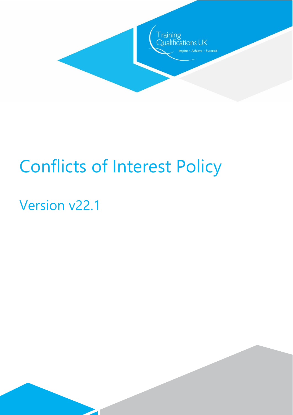

# Conflicts of Interest Policy

# Version v22.1

 $\overline{\phantom{a}}$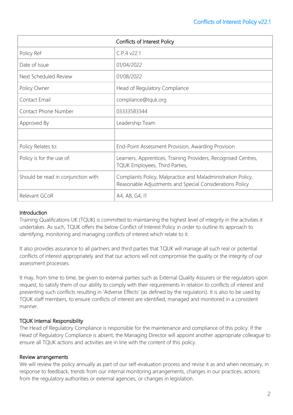| Conflicts of Interest Policy        |                                                                                                                          |
|-------------------------------------|--------------------------------------------------------------------------------------------------------------------------|
| Policy Ref                          | C.P.4 v22.1                                                                                                              |
| Date of Issue                       | 01/04/2022                                                                                                               |
| Next Scheduled Review               | 01/08/2022                                                                                                               |
| Policy Owner                        | Head of Regulatory Compliance                                                                                            |
| Contact Email                       | compliance@tquk.org                                                                                                      |
| <b>Contact Phone Number</b>         | 03333583344                                                                                                              |
| Approved By                         | Leadership Team                                                                                                          |
|                                     |                                                                                                                          |
| Policy Relates to:                  | End-Point Assessment Provision, Awarding Provision                                                                       |
| Policy is for the use of:           | Learners, Apprentices, Training Providers, Recognised Centres,<br>TQUK Employees, Third Parties,                         |
| Should be read in conjunction with: | Complaints Policy, Malpractice and Maladministration Policy,<br>Reasonable Adjustments and Special Considerations Policy |
| Relevant GCoR                       | A4, A8, G4, I1                                                                                                           |

### **Introduction**

Training Qualifications UK (TQUK) is committed to maintaining the highest level of integrity in the activities it undertakes. As such, TQUK offers the below Conflict of Interest Policy in order to outline its approach to identifying, monitoring and managing conflicts of interest which relate to it.

It also provides assurance to all partners and third parties that TQUK will manage all such real or potential conflicts of interest appropriately and that our actions will not compromise the quality or the integrity of our assessment processes.

It may, from time to time, be given to external parties such as External Quality Assurers or the regulators upon request, to satisfy them of our ability to comply with their requirements in relation to conflicts of interest and preventing such conflicts resulting in 'Adverse Effects' (as defined by the regulators). It is also to be used by TQUK staff members, to ensure conflicts of interest are identified, managed and monitored in a consistent manner.

### TQUK Internal Responsibility

The Head of Regulatory Compliance is responsible for the maintenance and compliance of this policy. If the Head of Regulatory Compliance is absent, the Managing Director will appoint another appropriate colleague to ensure all TQUK actions and activities are in line with the content of this policy.

### Review arrangements

We will review the policy annually as part of our self-evaluation process and revise it as and when necessary, in response to feedback, trends from our internal monitoring arrangements, changes in our practices, actions from the regulatory authorities or external agencies, or changes in legislation.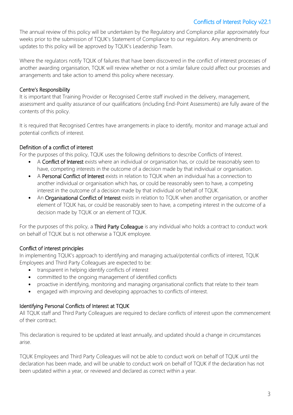# Conflicts of Interest Policy v22.1

The annual review of this policy will be undertaken by the Regulatory and Compliance pillar approximately four weeks prior to the submission of TQUK's Statement of Compliance to our regulators. Any amendments or updates to this policy will be approved by TQUK's Leadership Team.

Where the regulators notify TQUK of failures that have been discovered in the conflict of interest processes of another awarding organisation, TQUK will review whether or not a similar failure could affect our processes and arrangements and take action to amend this policy where necessary.

# Centre's Responsibility

It is important that Training Provider or Recognised Centre staff involved in the delivery, management, assessment and quality assurance of our qualifications (including End-Point Assessments) are fully aware of the contents of this policy.

It is required that Recognised Centres have arrangements in place to identify, monitor and manage actual and potential conflicts of interest.

# Definition of a conflict of interest

For the purposes of this policy, TQUK uses the following definitions to describe Conflicts of Interest.

- A Conflict of Interest exists where an individual or organisation has, or could be reasonably seen to have, competing interests in the outcome of a decision made by that individual or organisation.
- A Personal Conflict of Interest exists in relation to TQUK when an individual has a connection to another individual or organisation which has, or could be reasonably seen to have, a competing interest in the outcome of a decision made by that individual on behalf of TQUK.
- An Organisational Conflict of Interest exists in relation to TOUK when another organisation, or another element of TQUK has, or could be reasonably seen to have, a competing interest in the outcome of a decision made by TQUK or an element of TQUK.

For the purposes of this policy, a Third Party Colleague is any individual who holds a contract to conduct work on behalf of TQUK but is not otherwise a TQUK employee.

# Conflict of interest principles

In implementing TQUK's approach to identifying and managing actual/potential conflicts of interest, TQUK Employees and Third Party Colleagues are expected to be:

- transparent in helping identify conflicts of interest
- committed to the ongoing management of identified conflicts
- proactive in identifying, monitoring and managing organisational conflicts that relate to their team
- engaged with improving and developing approaches to conflicts of interest.

# Identifying Personal Conflicts of Interest at TQUK

All TQUK staff and Third Party Colleagues are required to declare conflicts of interest upon the commencement of their contract.

This declaration is required to be updated at least annually, and updated should a change in circumstances arise.

TQUK Employees and Third Party Colleagues will not be able to conduct work on behalf of TQUK until the declaration has been made, and will be unable to conduct work on behalf of TQUK if the declaration has not been updated within a year, or reviewed and declared as correct within a year.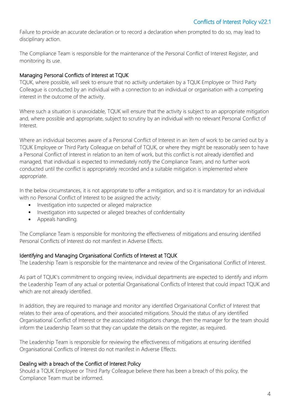Failure to provide an accurate declaration or to record a declaration when prompted to do so, may lead to disciplinary action.

The Compliance Team is responsible for the maintenance of the Personal Conflict of Interest Register, and monitoring its use.

#### Managing Personal Conflicts of Interest at TQUK

TQUK, where possible, will seek to ensure that no activity undertaken by a TQUK Employee or Third Party Colleague is conducted by an individual with a connection to an individual or organisation with a competing interest in the outcome of the activity.

Where such a situation is unavoidable, TQUK will ensure that the activity is subject to an appropriate mitigation and, where possible and appropriate, subject to scrutiny by an individual with no relevant Personal Conflict of Interest.

Where an individual becomes aware of a Personal Conflict of Interest in an item of work to be carried out by a TQUK Employee or Third Party Colleague on behalf of TQUK, or where they might be reasonably seen to have a Personal Conflict of Interest in relation to an item of work, but this conflict is not already identified and managed, that individual is expected to immediately notify the Compliance Team, and no further work conducted until the conflict is appropriately recorded and a suitable mitigation is implemented where appropriate.

In the below circumstances, it is not appropriate to offer a mitigation, and so it is mandatory for an individual with no Personal Conflict of Interest to be assigned the activity:

- Investigation into suspected or alleged malpractice
- Investigation into suspected or alleged breaches of confidentiality
- Appeals handling.

The Compliance Team is responsible for monitoring the effectiveness of mitigations and ensuring identified Personal Conflicts of Interest do not manifest in Adverse Effects.

#### Identifying and Managing Organisational Conflicts of Interest at TQUK

The Leadership Team is responsible for the maintenance and review of the Organisational Conflict of Interest.

As part of TQUK's commitment to ongoing review, individual departments are expected to identify and inform the Leadership Team of any actual or potential Organisational Conflicts of Interest that could impact TQUK and which are not already identified.

In addition, they are required to manage and monitor any identified Organisational Conflict of Interest that relates to their area of operations, and their associated mitigations. Should the status of any identified Organisational Conflict of Interest or the associated mitigations change, then the manager for the team should inform the Leadership Team so that they can update the details on the register, as required.

The Leadership Team is responsible for reviewing the effectiveness of mitigations at ensuring identified Organisational Conflicts of Interest do not manifest in Adverse Effects.

#### Dealing with a breach of the Conflict of Interest Policy

Should a TQUK Employee or Third Party Colleague believe there has been a breach of this policy, the Compliance Team must be informed.